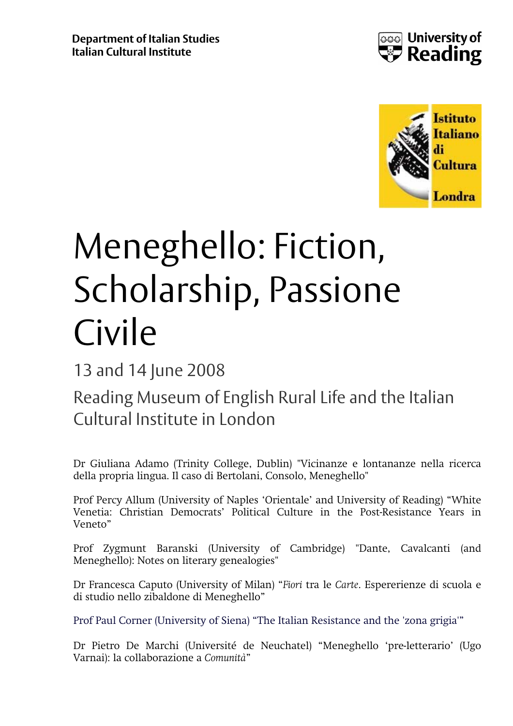



## Meneghello: Fiction, Scholarship, Passione Civile

## 13 and 14 June 2008

## Reading Museum of English Rural Life and the Italian Cultural Institute in London

Dr Giuliana Adamo (Trinity College, Dublin) "Vicinanze e lontananze nella ricerca della propria lingua. Il caso di Bertolani, Consolo, Meneghello"

Prof Percy Allum (University of Naples 'Orientale' and University of Reading) "White Venetia: Christian Democrats' Political Culture in the Post-Resistance Years in Veneto"

Prof Zygmunt Baranski (University of Cambridge) "Dante, Cavalcanti (and Meneghello): Notes on literary genealogies"

Dr Francesca Caputo (University of Milan) "*Fiori* tra le *Carte*. Espererienze di scuola e di studio nello zibaldone di Meneghello"

Prof Paul Corner (University of Siena) "The Italian Resistance and the 'zona grigia'"

Dr Pietro De Marchi (Université de Neuchatel) "Meneghello 'pre-letterario' (Ugo Varnai): la collaborazione a *Comunità*"